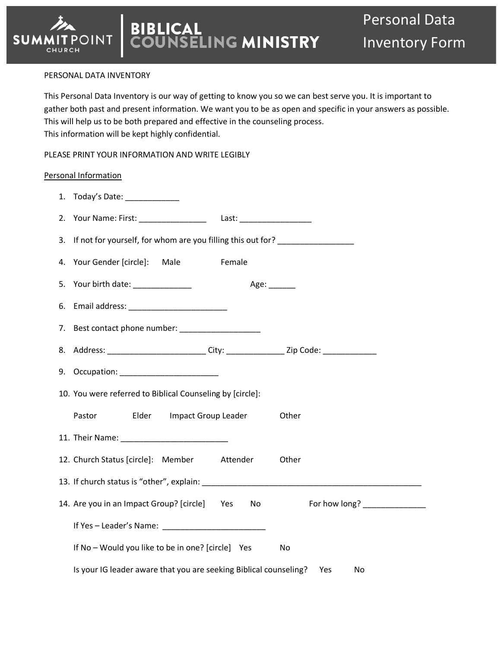#### PERSONAL DATA INVENTORY

**T** POINT

CHURCH

**SUMMI** 

This Personal Data Inventory is our way of getting to know you so we can best serve you. It is important to gather both past and present information. We want you to be as open and specific in your answers as possible. This will help us to be both prepared and effective in the counseling process. This information will be kept highly confidential.

PLEASE PRINT YOUR INFORMATION AND WRITE LEGIBLY

#### Personal Information

| 1. Today's Date: _____________                                                          |
|-----------------------------------------------------------------------------------------|
| 2. Your Name: First: ______________________ Last: ______________________________        |
| If not for yourself, for whom are you filling this out for? ____________________<br>3.  |
| Your Gender [circle]: Male<br>Female<br>4.                                              |
| 5.                                                                                      |
| 6.                                                                                      |
| 7. Best contact phone number: __________________                                        |
| 8. Address: __________________________City: __________________Zip Code: _______________ |
|                                                                                         |
| 10. You were referred to Biblical Counseling by [circle]:                               |
| Pastor Elder Impact Group Leader<br>Other                                               |
|                                                                                         |
| 12. Church Status [circle]: Member Attender<br>Other                                    |
|                                                                                         |
| 14. Are you in an Impact Group? [circle] Yes No For how long? _____________             |
|                                                                                         |
| If No - Would you like to be in one? [circle] Yes<br>No                                 |
| Is your IG leader aware that you are seeking Biblical counseling? Yes<br>No.            |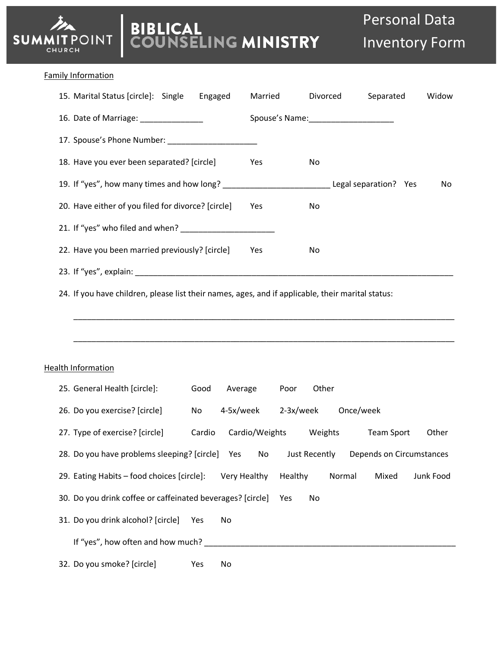# **BIBLICAL<br>COUNSELING MINISTRY**

## Family Information

**SUMMITPOINT** CHURCH

| 15. Marital Status [circle]: Single Engaged                                                       |           |              | Married |         | Divorced |                               | Separated                         | Widow     |
|---------------------------------------------------------------------------------------------------|-----------|--------------|---------|---------|----------|-------------------------------|-----------------------------------|-----------|
| 16. Date of Marriage: _______________                                                             |           |              |         |         |          |                               |                                   |           |
|                                                                                                   |           |              |         |         |          |                               |                                   |           |
| 18. Have you ever been separated? [circle]                                                        |           |              | Yes     |         | No       |                               |                                   |           |
| 19. If "yes", how many times and how long? _____________________________Legal separation? Yes     |           |              |         |         |          |                               |                                   | No        |
| 20. Have either of you filed for divorce? [circle]                                                |           |              | Yes     |         | No       |                               |                                   |           |
|                                                                                                   |           |              |         |         |          |                               |                                   |           |
| 22. Have you been married previously? [circle]                                                    |           |              | Yes     |         | No       |                               |                                   |           |
|                                                                                                   |           |              |         |         |          |                               |                                   |           |
|                                                                                                   |           |              |         |         |          |                               |                                   |           |
| 24. If you have children, please list their names, ages, and if applicable, their marital status: |           |              |         |         |          |                               |                                   |           |
|                                                                                                   |           |              |         |         |          |                               |                                   |           |
|                                                                                                   |           |              |         |         |          |                               |                                   |           |
|                                                                                                   |           |              |         |         |          |                               |                                   |           |
| <b>Health Information</b>                                                                         |           |              |         |         |          |                               |                                   |           |
| 25. General Health [circle]:                                                                      | Good      | Average      |         | Poor    | Other    |                               |                                   |           |
| 26. Do you exercise? [circle]                                                                     | <b>No</b> |              |         |         |          | 4-5x/week 2-3x/week Once/week |                                   |           |
| 27. Type of exercise? [circle]                                                                    | Cardio    |              |         |         |          |                               | Cardio/Weights Weights Team Sport | Other     |
| 28. Do you have problems sleeping? [circle] Yes No Just Recently Depends on Circumstances         |           |              |         |         |          |                               |                                   |           |
| 29. Eating Habits - food choices [circle]:                                                        |           | Very Healthy |         | Healthy |          | Normal                        | Mixed                             | Junk Food |
| 30. Do you drink coffee or caffeinated beverages? [circle]                                        |           |              |         | Yes     | No       |                               |                                   |           |
| 31. Do you drink alcohol? [circle]                                                                | Yes       | No           |         |         |          |                               |                                   |           |
|                                                                                                   |           |              |         |         |          |                               |                                   |           |
| 32. Do you smoke? [circle]                                                                        | Yes       | No           |         |         |          |                               |                                   |           |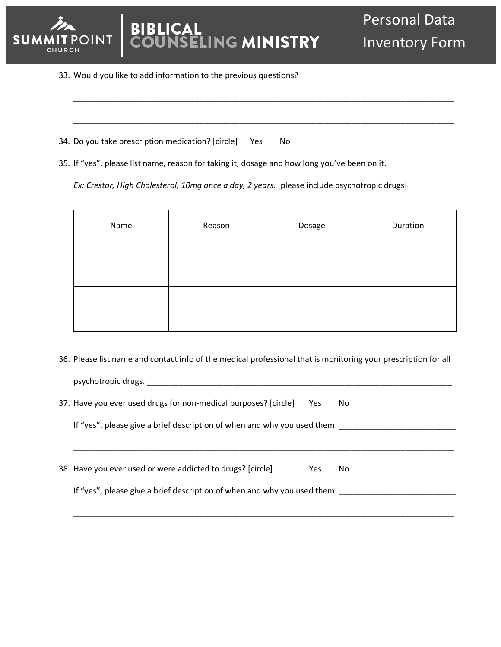

# **BLICAL ING MINISTRY**

33. Would you like to add information to the previous questions?

|  | 34. Do you take prescription medication? [circle] | Yes | No |
|--|---------------------------------------------------|-----|----|
|  |                                                   |     |    |

35. If "yes", please list name, reason for taking it, dosage and how long you've been on it.

*Ex: Crestor, High Cholesterol, 10mg once a day, 2 years.* [please include psychotropic drugs]

| Name | Reason | Dosage | Duration |
|------|--------|--------|----------|
|      |        |        |          |
|      |        |        |          |
|      |        |        |          |
|      |        |        |          |

\_\_\_\_\_\_\_\_\_\_\_\_\_\_\_\_\_\_\_\_\_\_\_\_\_\_\_\_\_\_\_\_\_\_\_\_\_\_\_\_\_\_\_\_\_\_\_\_\_\_\_\_\_\_\_\_\_\_\_\_\_\_\_\_\_\_\_\_\_\_\_\_\_\_\_\_\_\_\_\_\_\_\_\_\_

\_\_\_\_\_\_\_\_\_\_\_\_\_\_\_\_\_\_\_\_\_\_\_\_\_\_\_\_\_\_\_\_\_\_\_\_\_\_\_\_\_\_\_\_\_\_\_\_\_\_\_\_\_\_\_\_\_\_\_\_\_\_\_\_\_\_\_\_\_\_\_\_\_\_\_\_\_\_\_\_\_\_\_\_\_

36. Please list name and contact info of the medical professional that is monitoring your prescription for all

\_\_\_\_\_\_\_\_\_\_\_\_\_\_\_\_\_\_\_\_\_\_\_\_\_\_\_\_\_\_\_\_\_\_\_\_\_\_\_\_\_\_\_\_\_\_\_\_\_\_\_\_\_\_\_\_\_\_\_\_\_\_\_\_\_\_\_\_\_\_\_\_\_\_\_\_\_\_\_\_\_\_\_\_\_

\_\_\_\_\_\_\_\_\_\_\_\_\_\_\_\_\_\_\_\_\_\_\_\_\_\_\_\_\_\_\_\_\_\_\_\_\_\_\_\_\_\_\_\_\_\_\_\_\_\_\_\_\_\_\_\_\_\_\_\_\_\_\_\_\_\_\_\_\_\_\_\_\_\_\_\_\_\_\_\_\_\_\_\_\_

37. Have you ever used drugs for non-medical purposes? [circle] Yes No

If "yes", please give a brief description of when and why you used them: \_\_\_\_\_\_\_\_\_\_\_\_\_\_\_\_\_\_\_\_\_\_\_\_\_\_

psychotropic drugs. \_\_\_\_\_\_\_\_\_\_\_\_\_\_\_\_\_\_\_\_\_\_\_\_\_\_\_\_\_\_\_\_\_\_\_\_\_\_\_\_\_\_\_\_\_\_\_\_\_\_\_\_\_\_\_\_\_\_\_\_\_\_\_\_\_\_\_\_

| 38. Have you ever used or were addicted to drugs? [circle] |  | Yes No |  |
|------------------------------------------------------------|--|--------|--|
|                                                            |  |        |  |

If "yes", please give a brief description of when and why you used them: \_\_\_\_\_\_\_\_\_\_\_\_\_\_\_\_\_\_\_\_\_\_\_\_\_\_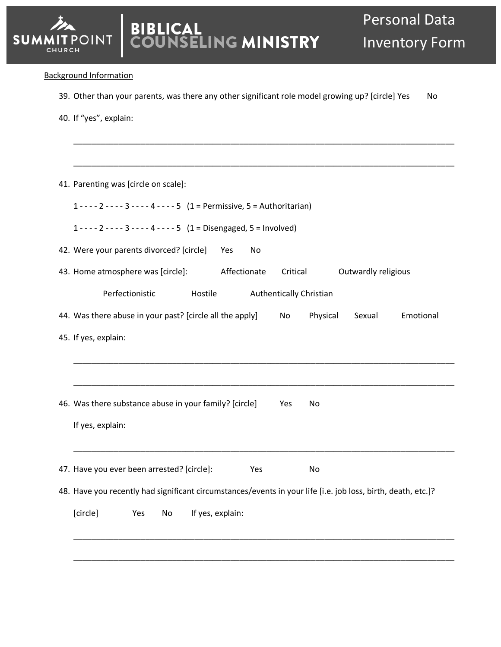## Background Information

**SUMMI** 

CHURCH

39. Other than your parents, was there any other significant role model growing up? [circle] Yes No

\_\_\_\_\_\_\_\_\_\_\_\_\_\_\_\_\_\_\_\_\_\_\_\_\_\_\_\_\_\_\_\_\_\_\_\_\_\_\_\_\_\_\_\_\_\_\_\_\_\_\_\_\_\_\_\_\_\_\_\_\_\_\_\_\_\_\_\_\_\_\_\_\_\_\_\_\_\_\_\_\_\_\_\_\_

40. If "yes", explain:

| 41. Parenting was [circle on scale]:                                                                         |
|--------------------------------------------------------------------------------------------------------------|
| $1 - - - 2 - - - - 3 - - - - 4 - - - - 5$ (1 = Permissive, 5 = Authoritarian)                                |
| $1 - - - 2 - - - - 3 - - - - 4 - - - - 5$ (1 = Disengaged, 5 = Involved)                                     |
| 42. Were your parents divorced? [circle]<br>No.<br>Yes                                                       |
| 43. Home atmosphere was [circle]:<br>Outwardly religious<br>Affectionate<br>Critical                         |
| Perfectionistic<br><b>Authentically Christian</b><br>Hostile                                                 |
| 44. Was there abuse in your past? [circle all the apply]<br>Emotional<br>Physical<br>Sexual<br>No            |
| 45. If yes, explain:                                                                                         |
|                                                                                                              |
|                                                                                                              |
| 46. Was there substance abuse in your family? [circle]<br>Yes<br>No                                          |
| If yes, explain:                                                                                             |
|                                                                                                              |
| 47. Have you ever been arrested? [circle]:<br>Yes<br>No                                                      |
| 48. Have you recently had significant circumstances/events in your life [i.e. job loss, birth, death, etc.]? |
| [circle]<br>If yes, explain:<br>Yes<br>No                                                                    |
|                                                                                                              |
|                                                                                                              |
|                                                                                                              |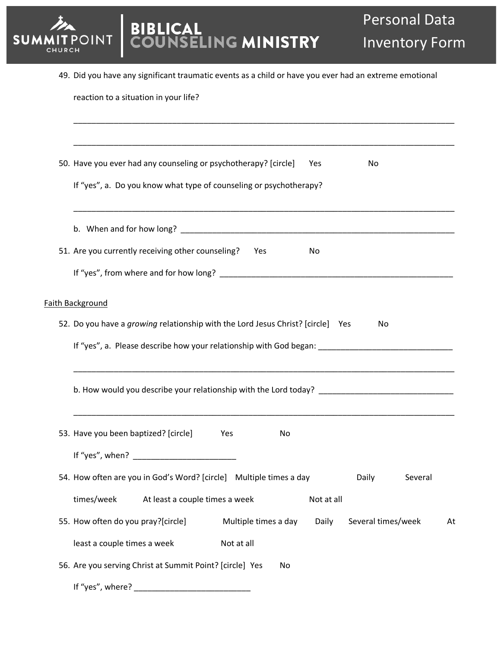

|  |  |  | 49. Did you have any significant traumatic events as a child or have you ever had an extreme emotional |
|--|--|--|--------------------------------------------------------------------------------------------------------|
|  |  |  |                                                                                                        |

| reaction to a situation in your life? |  |  |
|---------------------------------------|--|--|
|---------------------------------------|--|--|

| 50. Have you ever had any counseling or psychotherapy? [circle]<br>Yes<br>No                        |
|-----------------------------------------------------------------------------------------------------|
| If "yes", a. Do you know what type of counseling or psychotherapy?                                  |
|                                                                                                     |
| 51. Are you currently receiving other counseling?<br>Yes<br>No                                      |
|                                                                                                     |
| Faith Background                                                                                    |
| 52. Do you have a growing relationship with the Lord Jesus Christ? [circle] Yes<br>No               |
|                                                                                                     |
| b. How would you describe your relationship with the Lord today? __________________________________ |
| 53. Have you been baptized? [circle]<br>No<br>Yes                                                   |
|                                                                                                     |
| 54. How often are you in God's Word? [circle] Multiple times a day<br>Several<br>Daily              |
| times/week<br>At least a couple times a week<br>Not at all                                          |
| 55. How often do you pray?[circle]<br>Multiple times a day<br>Daily<br>Several times/week<br>At     |
| least a couple times a week<br>Not at all                                                           |
| 56. Are you serving Christ at Summit Point? [circle] Yes<br>No.<br>If "yes", where?                 |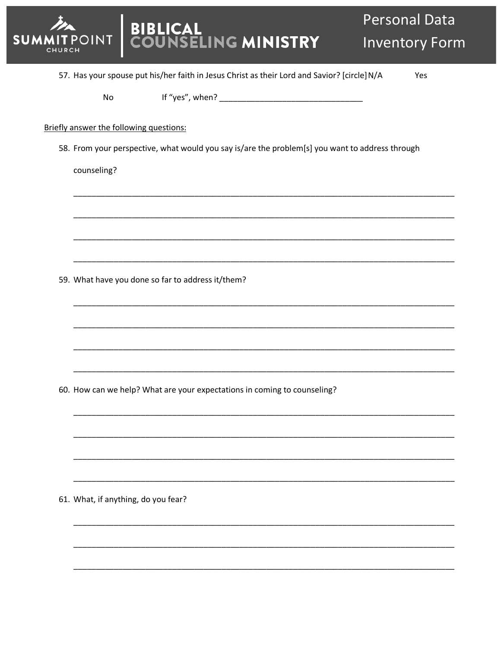BIBLICAL<br>COUNSELING MINISTRY **Personal Data Inventory Form** OINT 57. Has your spouse put his/her faith in Jesus Christ as their Lord and Savior? [circle] N/A Yes No Briefly answer the following questions: 58. From your perspective, what would you say is/are the problem[s] you want to address through counseling? 59. What have you done so far to address it/them? 60. How can we help? What are your expectations in coming to counseling? 61. What, if anything, do you fear?

**SUM**